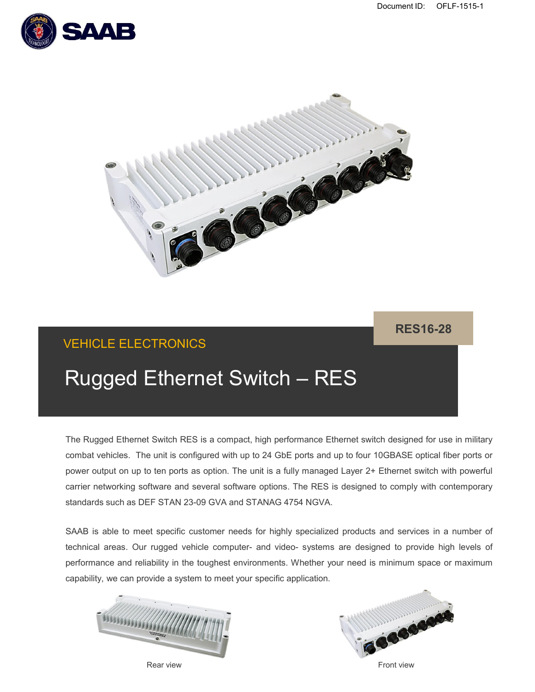



## VEHICLE ELECTRONICS

**RES16-28**

# Rugged Ethernet Switch – RES

The Rugged Ethernet Switch RES is a compact, high performance Ethernet switch designed for use in military combat vehicles. The unit is configured with up to 24 GbE ports and up to four 10GBASE optical fiber ports or power output on up to ten ports as option. The unit is a fully managed Layer 2+ Ethernet switch with powerful carrier networking software and several software options. The RES is designed to comply with contemporary standards such as DEF STAN 23-09 GVA and STANAG 4754 NGVA.

SAAB is able to meet specific customer needs for highly specialized products and services in a number of technical areas. Our rugged vehicle computer- and video- systems are designed to provide high levels of performance and reliability in the toughest environments. Whether your need is minimum space or maximum capability, we can provide a system to meet your specific application.





Rear view Front view